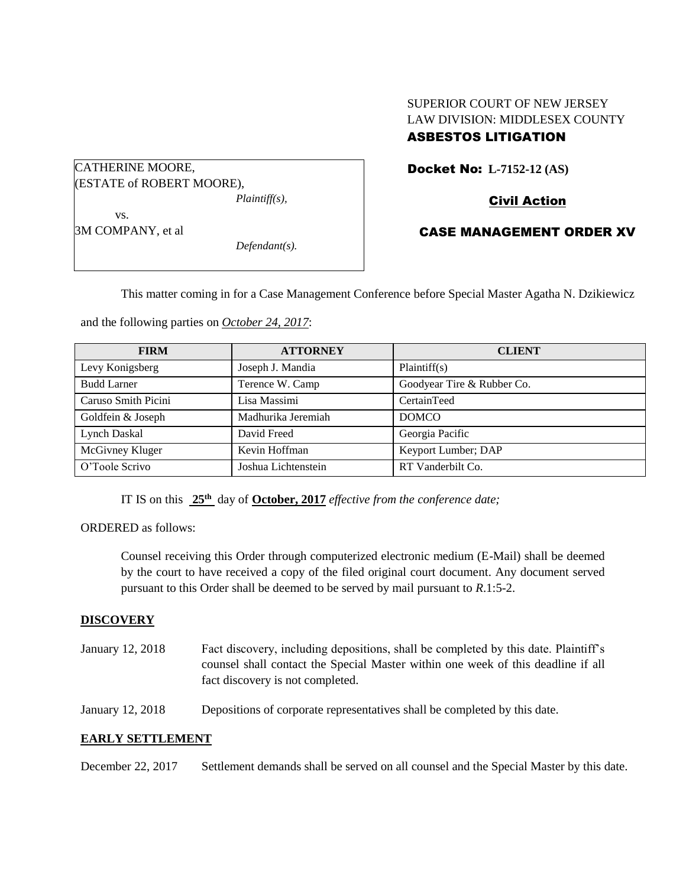# SUPERIOR COURT OF NEW JERSEY LAW DIVISION: MIDDLESEX COUNTY

# ASBESTOS LITIGATION

Docket No: **L-7152-12 (AS)** 

CATHERINE MOORE, (ESTATE of ROBERT MOORE), *Plaintiff(s),* vs.

and the following parties on *October 24, 2017*:

Civil Action

3M COMPANY, et al

*Defendant(s).*

CASE MANAGEMENT ORDER XV

This matter coming in for a Case Management Conference before Special Master Agatha N. Dzikiewicz

| <b>FIRM</b>         | <b>ATTORNEY</b>     | <b>CLIENT</b>              |
|---------------------|---------------------|----------------------------|
| Levy Konigsberg     | Joseph J. Mandia    | Plaintiff(s)               |
| <b>Budd Larner</b>  | Terence W. Camp     | Goodyear Tire & Rubber Co. |
| Caruso Smith Picini | Lisa Massimi        | CertainTeed                |
| Goldfein & Joseph   | Madhurika Jeremiah  | <b>DOMCO</b>               |
| Lynch Daskal        | David Freed         | Georgia Pacific            |
| McGivney Kluger     | Kevin Hoffman       | Keyport Lumber; DAP        |
| O'Toole Scrivo      | Joshua Lichtenstein | RT Vanderbilt Co.          |

IT IS on this **25th** day of **October, 2017** *effective from the conference date;*

ORDERED as follows:

Counsel receiving this Order through computerized electronic medium (E-Mail) shall be deemed by the court to have received a copy of the filed original court document. Any document served pursuant to this Order shall be deemed to be served by mail pursuant to *R*.1:5-2.

### **DISCOVERY**

January 12, 2018 Fact discovery, including depositions, shall be completed by this date. Plaintiff's counsel shall contact the Special Master within one week of this deadline if all fact discovery is not completed.

January 12, 2018 Depositions of corporate representatives shall be completed by this date.

### **EARLY SETTLEMENT**

December 22, 2017 Settlement demands shall be served on all counsel and the Special Master by this date.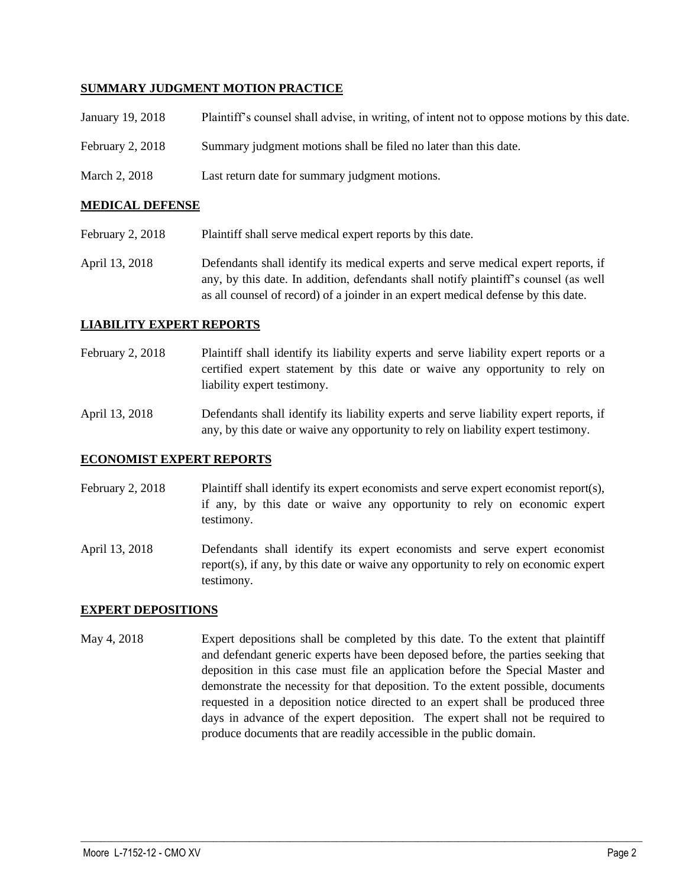#### **SUMMARY JUDGMENT MOTION PRACTICE**

| January 19, 2018   | Plaintiff's counsel shall advise, in writing, of intent not to oppose motions by this date. |
|--------------------|---------------------------------------------------------------------------------------------|
| February $2, 2018$ | Summary judgment motions shall be filed no later than this date.                            |
| March 2, 2018      | Last return date for summary judgment motions.                                              |

#### **MEDICAL DEFENSE**

- February 2, 2018 Plaintiff shall serve medical expert reports by this date.
- April 13, 2018 Defendants shall identify its medical experts and serve medical expert reports, if any, by this date. In addition, defendants shall notify plaintiff's counsel (as well as all counsel of record) of a joinder in an expert medical defense by this date.

#### **LIABILITY EXPERT REPORTS**

February 2, 2018 Plaintiff shall identify its liability experts and serve liability expert reports or a certified expert statement by this date or waive any opportunity to rely on liability expert testimony.

April 13, 2018 Defendants shall identify its liability experts and serve liability expert reports, if any, by this date or waive any opportunity to rely on liability expert testimony.

#### **ECONOMIST EXPERT REPORTS**

- February 2, 2018 Plaintiff shall identify its expert economists and serve expert economist report(s), if any, by this date or waive any opportunity to rely on economic expert testimony.
- April 13, 2018 Defendants shall identify its expert economists and serve expert economist report(s), if any, by this date or waive any opportunity to rely on economic expert testimony.

#### **EXPERT DEPOSITIONS**

May 4, 2018 Expert depositions shall be completed by this date. To the extent that plaintiff and defendant generic experts have been deposed before, the parties seeking that deposition in this case must file an application before the Special Master and demonstrate the necessity for that deposition. To the extent possible, documents requested in a deposition notice directed to an expert shall be produced three days in advance of the expert deposition. The expert shall not be required to produce documents that are readily accessible in the public domain.

 $\_$  ,  $\_$  ,  $\_$  ,  $\_$  ,  $\_$  ,  $\_$  ,  $\_$  ,  $\_$  ,  $\_$  ,  $\_$  ,  $\_$  ,  $\_$  ,  $\_$  ,  $\_$  ,  $\_$  ,  $\_$  ,  $\_$  ,  $\_$  ,  $\_$  ,  $\_$  ,  $\_$  ,  $\_$  ,  $\_$  ,  $\_$  ,  $\_$  ,  $\_$  ,  $\_$  ,  $\_$  ,  $\_$  ,  $\_$  ,  $\_$  ,  $\_$  ,  $\_$  ,  $\_$  ,  $\_$  ,  $\_$  ,  $\_$  ,